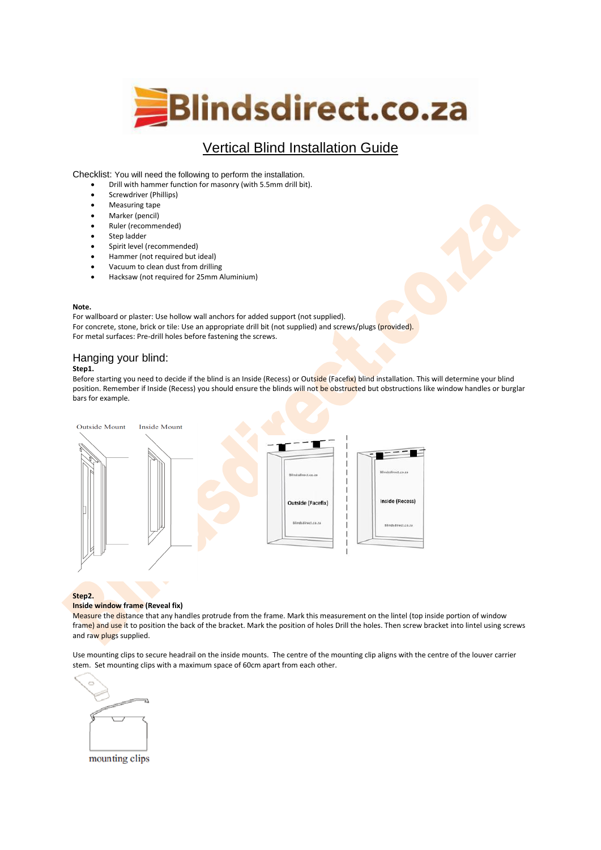

# Vertical Blind Installation Guide

Checklist: You will need the following to perform the installation.

- Drill with hammer function for masonry (with 5.5mm drill bit).
- Screwdriver (Phillips)
- Measuring tape
- Marker (pencil)
- Ruler (recommended)
- Step ladder
- Spirit level (recommended)
- Hammer (not required but ideal)
- Vacuum to clean dust from drilling
- Hacksaw (not required for 25mm Aluminium)

#### **Note.**

For wallboard or plaster: Use hollow wall anchors for added support (not supplied). For concrete, stone, brick or tile: Use an appropriate drill bit (not supplied) and screws/plugs (provided). For metal surfaces: Pre-drill holes before fastening the screws.

# Hanging your blind:

### **Step1.**

Before starting you need to decide if the blind is an Inside (Recess) or Outside (Facefix) blind installation. This will determine your blind position. Remember if Inside (Recess) you should ensure the blinds will not be obstructed but obstructions like window handles or burglar bars for example.



#### **Step2.**

#### **Inside window frame (Reveal fix)**

Measure the distance that any handles protrude from the frame. Mark this measurement on the lintel (top inside portion of window frame) and use it to position the back of the bracket. Mark the position of holes Drill the holes. Then screw bracket into lintel using screws and raw plugs supplied.

Use mounting clips to secure headrail on the inside mounts. The centre of the mounting clip aligns with the centre of the louver carrier stem. Set mounting clips with a maximum space of 60cm apart from each other.



mounting clips